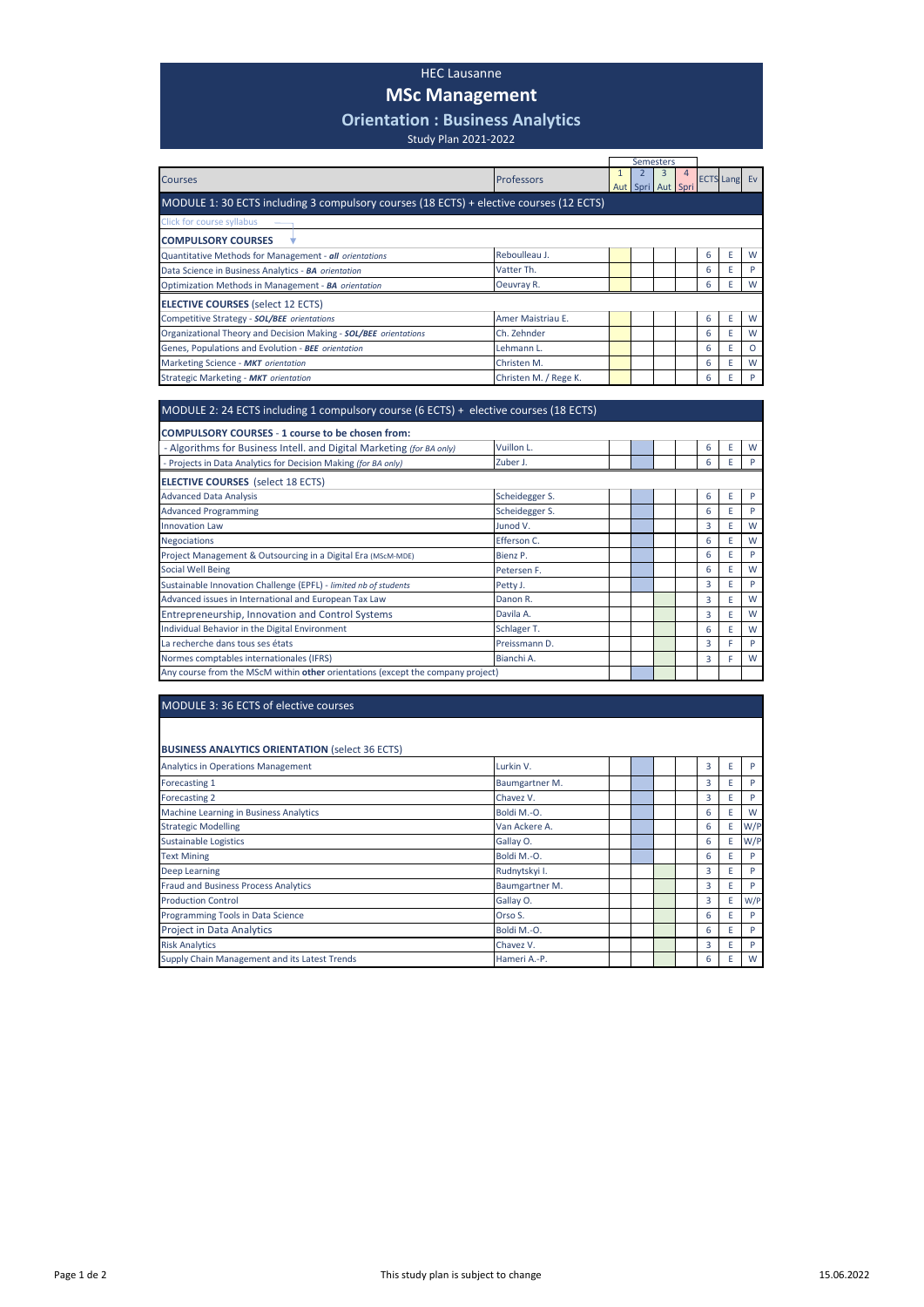## HEC Lausanne

## **MSc Management**

## **Orientation : Business Analytics**

Study Plan 2021-2022

|                                                                                         |                       |  |  | <b>Semesters</b>  |  |   |                     |          |
|-----------------------------------------------------------------------------------------|-----------------------|--|--|-------------------|--|---|---------------------|----------|
| <b>Courses</b>                                                                          | <b>Professors</b>     |  |  | Aut Spri Aut Spri |  |   | <b>ECTS Lang Ev</b> |          |
| MODULE 1: 30 ECTS including 3 compulsory courses (18 ECTS) + elective courses (12 ECTS) |                       |  |  |                   |  |   |                     |          |
| Click for course syllabus                                                               |                       |  |  |                   |  |   |                     |          |
| <b>COMPULSORY COURSES</b>                                                               |                       |  |  |                   |  |   |                     |          |
| Quantitative Methods for Management - all orientations                                  | Reboulleau J.         |  |  |                   |  | 6 | E                   | W        |
| Data Science in Business Analytics - BA orientation                                     | Vatter Th.            |  |  |                   |  | 6 | E                   | Þ        |
| Optimization Methods in Management - BA orientation                                     | Oeuvray R.            |  |  |                   |  | 6 | Е                   | W        |
| <b>ELECTIVE COURSES</b> (select 12 ECTS)                                                |                       |  |  |                   |  |   |                     |          |
| Competitive Strategy - SOL/BEE orientations                                             | Amer Maistriau E.     |  |  |                   |  | 6 | E                   | W        |
| Organizational Theory and Decision Making - SOL/BEE orientations                        | Ch. Zehnder           |  |  |                   |  | 6 | E                   | W        |
| Genes, Populations and Evolution - BEE orientation                                      | Lehmann L.            |  |  |                   |  | 6 | E                   | $\Omega$ |
| Marketing Science - MKT orientation                                                     | Christen M.           |  |  |                   |  | 6 | E                   | W        |
| Strategic Marketing - MKT orientation                                                   | Christen M. / Rege K. |  |  |                   |  | 6 |                     |          |

| MODULE 2: 24 ECTS including 1 compulsory course (6 ECTS) + elective courses (18 ECTS) |                |  |  |  |  |   |   |   |
|---------------------------------------------------------------------------------------|----------------|--|--|--|--|---|---|---|
| COMPULSORY COURSES - 1 course to be chosen from:                                      |                |  |  |  |  |   |   |   |
| - Algorithms for Business Intell. and Digital Marketing (for BA only)                 | Vuillon L.     |  |  |  |  | 6 | E | W |
| - Projects in Data Analytics for Decision Making (for BA only)                        | Zuber J.       |  |  |  |  | 6 | E | P |
| <b>ELECTIVE COURSES</b> (select 18 ECTS)                                              |                |  |  |  |  |   |   |   |
| <b>Advanced Data Analysis</b>                                                         | Scheidegger S. |  |  |  |  | 6 | E | P |
| <b>Advanced Programming</b>                                                           | Scheidegger S. |  |  |  |  | 6 | E | P |
| <b>Innovation Law</b>                                                                 | Junod V.       |  |  |  |  | 3 | E | W |
| <b>Negociations</b>                                                                   | Efferson C.    |  |  |  |  | 6 | E | W |
| Project Management & Outsourcing in a Digital Era (MScM-MDE)                          | Bienz P.       |  |  |  |  | 6 | E | P |
| <b>Social Well Being</b>                                                              | Petersen F.    |  |  |  |  | 6 | E | W |
| Sustainable Innovation Challenge (EPFL) - limited nb of students                      | Petty J.       |  |  |  |  | 3 | E | P |
| Advanced issues in International and European Tax Law                                 | Danon R.       |  |  |  |  | 3 | E | W |
| Entrepreneurship, Innovation and Control Systems                                      | Davila A.      |  |  |  |  | 3 | E | W |
| Individual Behavior in the Digital Environment                                        | Schlager T.    |  |  |  |  | 6 | E | W |
| La recherche dans tous ses états                                                      | Preissmann D.  |  |  |  |  | 3 | F | P |
| Normes comptables internationales (IFRS)                                              | Bianchi A.     |  |  |  |  | 3 | F | W |
| Any course from the MScM within other orientations (except the company project)       |                |  |  |  |  |   |   |   |

| MODULE 3:36 ECTS of elective courses                   |                |  |  |  |  |   |   |     |
|--------------------------------------------------------|----------------|--|--|--|--|---|---|-----|
|                                                        |                |  |  |  |  |   |   |     |
| <b>BUSINESS ANALYTICS ORIENTATION (select 36 ECTS)</b> |                |  |  |  |  |   |   |     |
| <b>Analytics in Operations Management</b>              | Lurkin V.      |  |  |  |  | 3 | E | P   |
| Forecasting 1                                          | Baumgartner M. |  |  |  |  | 3 | E | P   |
| Forecasting 2                                          | Chavez V.      |  |  |  |  | 3 | E | P   |
| Machine Learning in Business Analytics                 | Boldi M.-O.    |  |  |  |  | 6 | E | W   |
| <b>Strategic Modelling</b>                             | Van Ackere A.  |  |  |  |  | 6 | E | W/P |
| <b>Sustainable Logistics</b>                           | Gallay O.      |  |  |  |  | 6 | E | W/P |
| <b>Text Mining</b>                                     | Boldi M.-O.    |  |  |  |  | 6 | E | P   |
| Deep Learning                                          | Rudnytskyi I.  |  |  |  |  | 3 | F | P   |
| <b>Fraud and Business Process Analytics</b>            | Baumgartner M. |  |  |  |  | 3 | E | P   |
| <b>Production Control</b>                              | Gallay O.      |  |  |  |  | 3 | E | W/P |
| Programming Tools in Data Science                      | Orso S.        |  |  |  |  | 6 | E | P   |
| <b>Project in Data Analytics</b>                       | Boldi M.-O.    |  |  |  |  | 6 | E | P   |
| <b>Risk Analytics</b>                                  | Chavez V.      |  |  |  |  | 3 | E | P   |
| Supply Chain Management and its Latest Trends          | Hameri A.-P.   |  |  |  |  | 6 | E | W   |